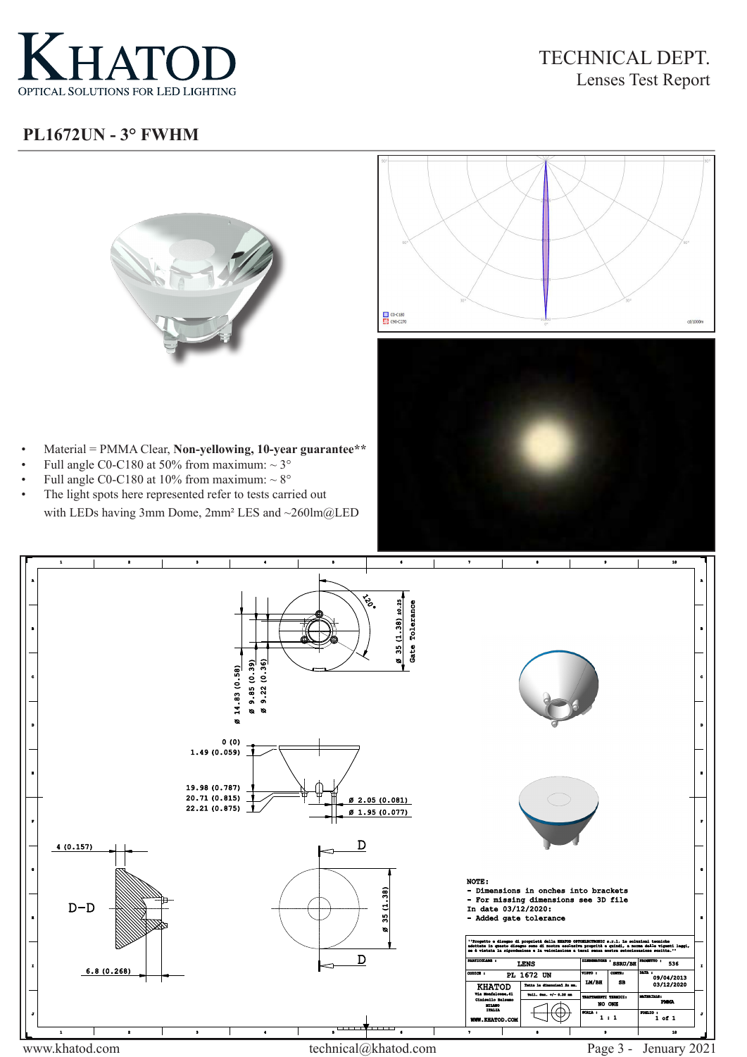

## **PL1672UN - 3° FWHM**

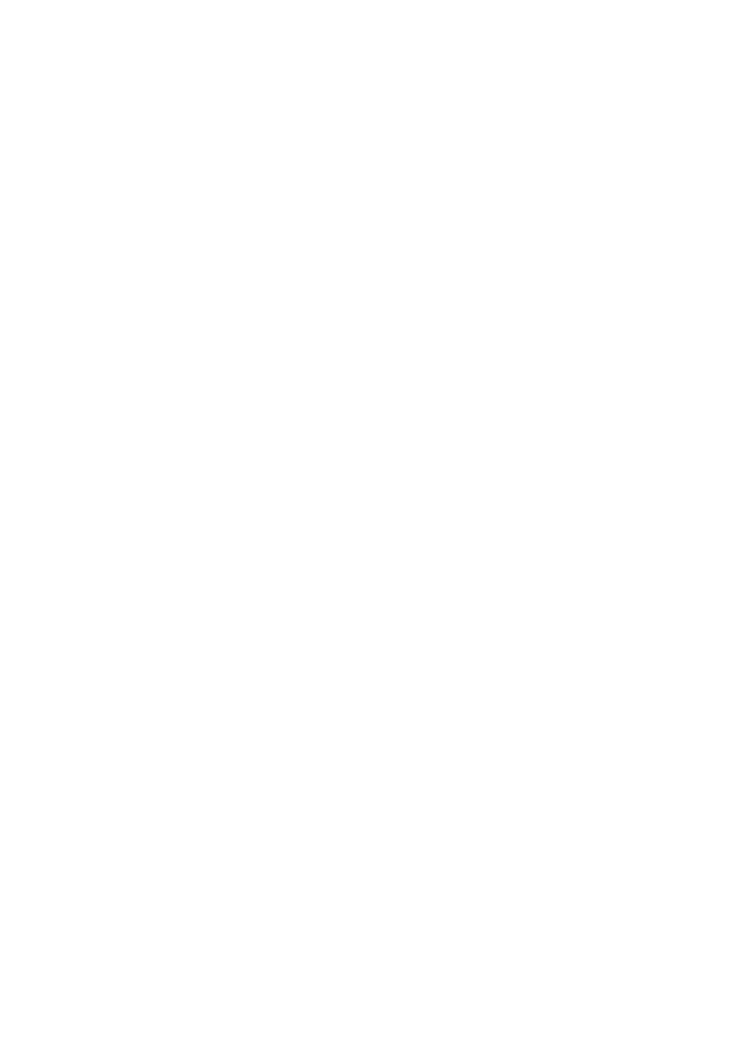| ossed 27/29 VDX<br>- Siak mark imjieckica public bo present<br>- Siak mark imjieckica șilli bo present<br>©= Quality Control Dimension (QCD) |                                      |
|----------------------------------------------------------------------------------------------------------------------------------------------|--------------------------------------|
|                                                                                                                                              |                                      |
|                                                                                                                                              |                                      |
|                                                                                                                                              |                                      |
| Lens Holder<br>KE 1672                                                                                                                       | ти<br>1672                           |
|                                                                                                                                              | 16/06/2018<br>$\bullet$<br>$\bullet$ |
|                                                                                                                                              | PC BY Black<br><b>None</b>           |
|                                                                                                                                              | 1:1<br>1 of 1                        |
|                                                                                                                                              |                                      |
|                                                                                                                                              |                                      |



KE1672 holder is suitable for the PL1672UN / PL1672NA / PL1672ME / PL1672EL only.